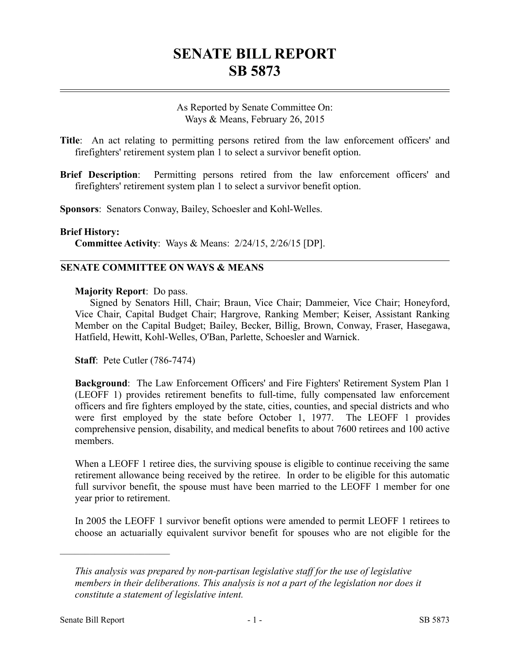# **SENATE BILL REPORT SB 5873**

As Reported by Senate Committee On: Ways & Means, February 26, 2015

**Title**: An act relating to permitting persons retired from the law enforcement officers' and firefighters' retirement system plan 1 to select a survivor benefit option.

**Brief Description**: Permitting persons retired from the law enforcement officers' and firefighters' retirement system plan 1 to select a survivor benefit option.

**Sponsors**: Senators Conway, Bailey, Schoesler and Kohl-Welles.

#### **Brief History:**

**Committee Activity**: Ways & Means: 2/24/15, 2/26/15 [DP].

## **SENATE COMMITTEE ON WAYS & MEANS**

#### **Majority Report**: Do pass.

Signed by Senators Hill, Chair; Braun, Vice Chair; Dammeier, Vice Chair; Honeyford, Vice Chair, Capital Budget Chair; Hargrove, Ranking Member; Keiser, Assistant Ranking Member on the Capital Budget; Bailey, Becker, Billig, Brown, Conway, Fraser, Hasegawa, Hatfield, Hewitt, Kohl-Welles, O'Ban, Parlette, Schoesler and Warnick.

**Staff**: Pete Cutler (786-7474)

**Background**: The Law Enforcement Officers' and Fire Fighters' Retirement System Plan 1 (LEOFF 1) provides retirement benefits to full-time, fully compensated law enforcement officers and fire fighters employed by the state, cities, counties, and special districts and who were first employed by the state before October 1, 1977. The LEOFF 1 provides comprehensive pension, disability, and medical benefits to about 7600 retirees and 100 active members.

When a LEOFF 1 retiree dies, the surviving spouse is eligible to continue receiving the same retirement allowance being received by the retiree. In order to be eligible for this automatic full survivor benefit, the spouse must have been married to the LEOFF 1 member for one year prior to retirement.

In 2005 the LEOFF 1 survivor benefit options were amended to permit LEOFF 1 retirees to choose an actuarially equivalent survivor benefit for spouses who are not eligible for the

––––––––––––––––––––––

*This analysis was prepared by non-partisan legislative staff for the use of legislative members in their deliberations. This analysis is not a part of the legislation nor does it constitute a statement of legislative intent.*